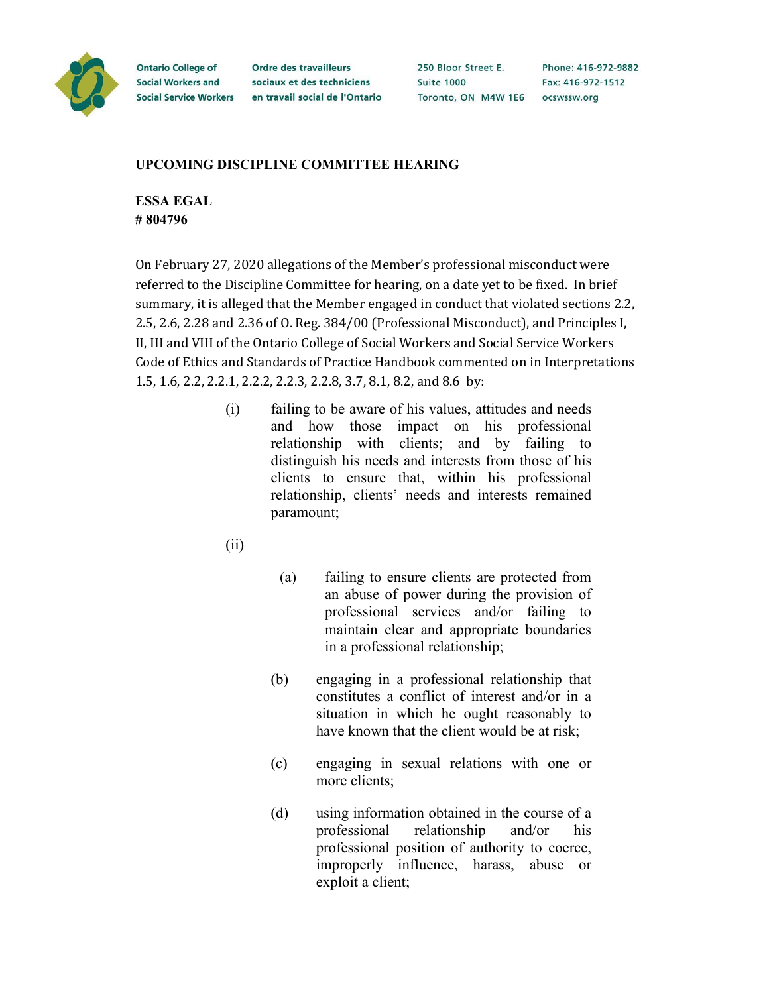

**Ontario College of Social Workers and** 

**Ordre des travailleurs** sociaux et des techniciens Social Service Workers en travail social de l'Ontario 250 Bloor Street E. **Suite 1000** Toronto, ON M4W 1E6 ocswssw.org

Phone: 416-972-9882 Fax: 416-972-1512

## **UPCOMING DISCIPLINE COMMITTEE HEARING**

**ESSA EGAL # 804796**

On February 27, 2020 allegations of the Member's professional misconduct were referred to the Discipline Committee for hearing, on a date yet to be fixed. In brief summary, it is alleged that the Member engaged in conduct that violated sections 2.2, 2.5, 2.6, 2.28 and 2.36 of O. Reg. 384/00 (Professional Misconduct), and Principles I, II, III and VIII of the Ontario College of Social Workers and Social Service Workers Code of Ethics and Standards of Practice Handbook commented on in Interpretations 1.5, 1.6, 2.2, 2.2.1, 2.2.2, 2.2.3, 2.2.8, 3.7, 8.1, 8.2, and 8.6 by:

- (i) failing to be aware of his values, attitudes and needs and how those impact on his professional relationship with clients; and by failing to distinguish his needs and interests from those of his clients to ensure that, within his professional relationship, clients' needs and interests remained paramount;
- (ii)
- (a) failing to ensure clients are protected from an abuse of power during the provision of professional services and/or failing to maintain clear and appropriate boundaries in a professional relationship;
- (b) engaging in a professional relationship that constitutes a conflict of interest and/or in a situation in which he ought reasonably to have known that the client would be at risk;
- (c) engaging in sexual relations with one or more clients;
- (d) using information obtained in the course of a professional relationship and/or his professional position of authority to coerce, improperly influence, harass, abuse or exploit a client;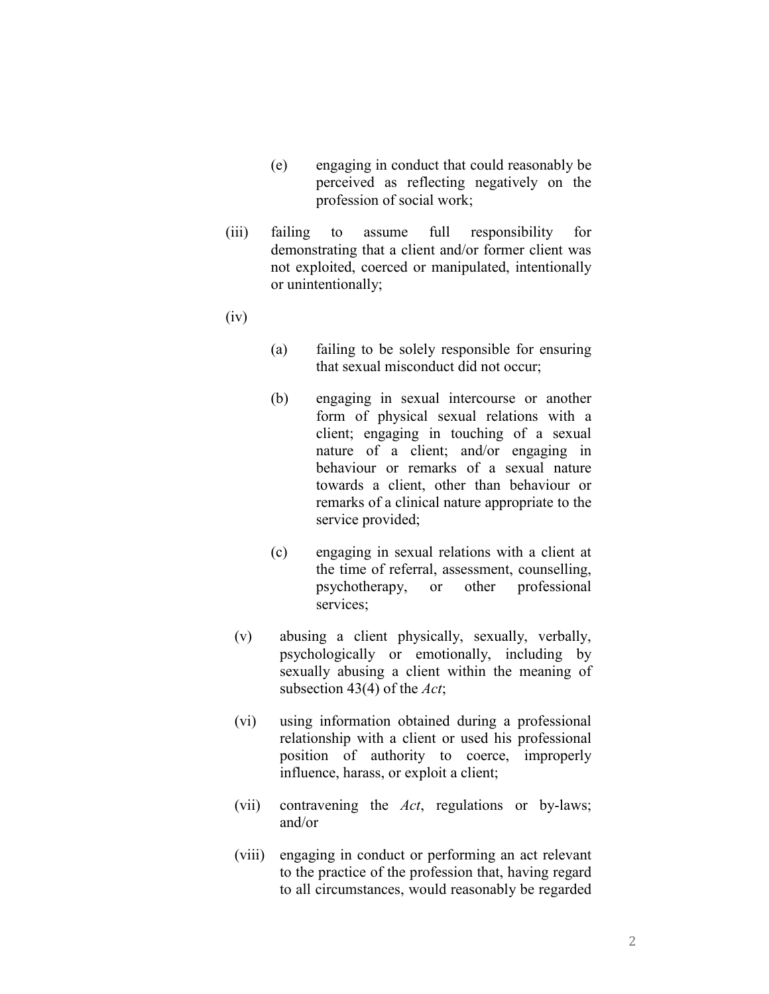- (e) engaging in conduct that could reasonably be perceived as reflecting negatively on the profession of social work;
- (iii) failing to assume full responsibility for demonstrating that a client and/or former client was not exploited, coerced or manipulated, intentionally or unintentionally;
- (iv)
- (a) failing to be solely responsible for ensuring that sexual misconduct did not occur;
- (b) engaging in sexual intercourse or another form of physical sexual relations with a client; engaging in touching of a sexual nature of a client; and/or engaging in behaviour or remarks of a sexual nature towards a client, other than behaviour or remarks of a clinical nature appropriate to the service provided;
- (c) engaging in sexual relations with a client at the time of referral, assessment, counselling, psychotherapy, or other professional services;
- (v) abusing a client physically, sexually, verbally, psychologically or emotionally, including by sexually abusing a client within the meaning of subsection 43(4) of the *Act*;
- (vi) using information obtained during a professional relationship with a client or used his professional position of authority to coerce, improperly influence, harass, or exploit a client;
- (vii) contravening the *Act*, regulations or by-laws; and/or
- (viii) engaging in conduct or performing an act relevant to the practice of the profession that, having regard to all circumstances, would reasonably be regarded